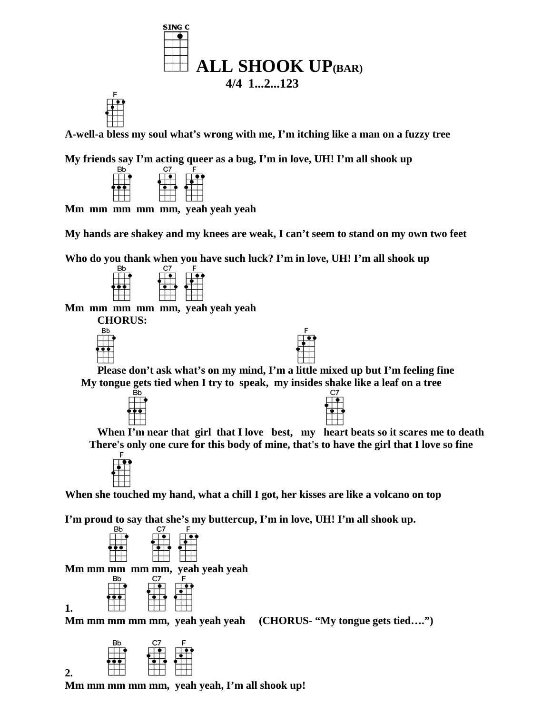



**A-well-a bless my soul what's wrong with me, I'm itching like a man on a fuzzy tree**

**My friends say I'm acting queer as a bug, I'm in love, UH! I'm all shook up** 



 **Mm mm mm mm mm, yeah yeah yeah**

**My hands are shakey and my knees are weak, I can't seem to stand on my own two feet**

Who do you thank when you have such luck? I'm in love, UH! I'm all shook up **by**  $\frac{CD}{CD}$ 



 **Mm mm mm mm mm, yeah yeah yeah**



 **Please don't ask what's on my mind, I'm a little mixed up but I'm feeling fine My tongue gets tied when I try to speak, my insides shake like a leaf on a tree**



 **When I'm near that girl that I love best, my heart beats so it scares me to death There's only one cure for this body of mine, that's to have the girl that I love so fine**



 **When she touched my hand, what a chill I got, her kisses are like a volcano on top**

**I'm proud to say that she's my buttercup, I'm in love, UH! I'm all shook up.**

|           | ு⊿<br> | ๋ |
|-----------|--------|---|
| <b>Bb</b> | C7     | F |
|           |        |   |
|           |        |   |
|           |        |   |
|           |        |   |

**Mm mm mm mm mm, yeah yeah yeah**<br><sup>E</sup>



**1. how we have that the set of the manufally of the manufally of**  $\mathbf{CHORUS}$ **- "My tongue gets tied...."**)



**2. Mm mm mm mm mm, yeah yeah, I'm all shook up!**